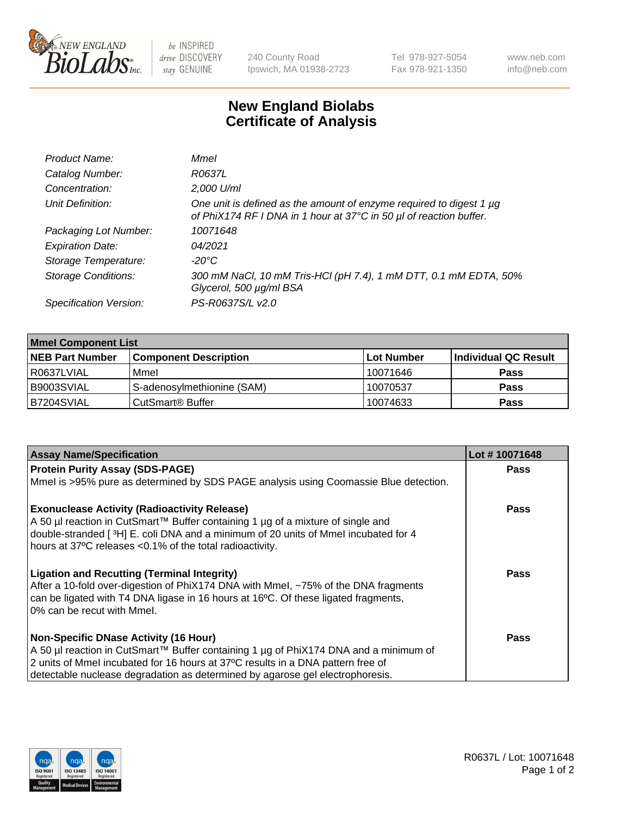

be INSPIRED drive DISCOVERY stay GENUINE

240 County Road Ipswich, MA 01938-2723 Tel 978-927-5054 Fax 978-921-1350 www.neb.com info@neb.com

## **New England Biolabs Certificate of Analysis**

| Product Name:              | Mmel                                                                                                                                           |
|----------------------------|------------------------------------------------------------------------------------------------------------------------------------------------|
| Catalog Number:            | R0637L                                                                                                                                         |
| Concentration:             | 2,000 U/ml                                                                                                                                     |
| Unit Definition:           | One unit is defined as the amount of enzyme required to digest 1 $\mu$ g<br>of PhiX174 RF I DNA in 1 hour at 37°C in 50 µl of reaction buffer. |
| Packaging Lot Number:      | 10071648                                                                                                                                       |
| <b>Expiration Date:</b>    | 04/2021                                                                                                                                        |
| Storage Temperature:       | $-20^{\circ}$ C                                                                                                                                |
| <b>Storage Conditions:</b> | 300 mM NaCl, 10 mM Tris-HCl (pH 7.4), 1 mM DTT, 0.1 mM EDTA, 50%<br>Glycerol, 500 µg/ml BSA                                                    |
| Specification Version:     | PS-R0637S/L v2.0                                                                                                                               |

| <b>Mmel Component List</b> |                              |            |                      |  |  |
|----------------------------|------------------------------|------------|----------------------|--|--|
| <b>NEB Part Number</b>     | <b>Component Description</b> | Lot Number | Individual QC Result |  |  |
| R0637LVIAL                 | Mmel                         | 10071646   | <b>Pass</b>          |  |  |
| I B9003SVIAL               | S-adenosylmethionine (SAM)   | 10070537   | <b>Pass</b>          |  |  |
| B7204SVIAL                 | CutSmart <sup>®</sup> Buffer | 10074633   | <b>Pass</b>          |  |  |

| <b>Assay Name/Specification</b>                                                                                                                                                                                                                                                                          | Lot #10071648 |
|----------------------------------------------------------------------------------------------------------------------------------------------------------------------------------------------------------------------------------------------------------------------------------------------------------|---------------|
| <b>Protein Purity Assay (SDS-PAGE)</b>                                                                                                                                                                                                                                                                   | <b>Pass</b>   |
| Mmel is >95% pure as determined by SDS PAGE analysis using Coomassie Blue detection.                                                                                                                                                                                                                     |               |
| <b>Exonuclease Activity (Radioactivity Release)</b><br>A 50 µl reaction in CutSmart™ Buffer containing 1 µg of a mixture of single and<br>double-stranded [3H] E. coli DNA and a minimum of 20 units of Mmel incubated for 4<br>hours at 37°C releases <0.1% of the total radioactivity.                 | Pass          |
| <b>Ligation and Recutting (Terminal Integrity)</b><br>After a 10-fold over-digestion of PhiX174 DNA with Mmel, ~75% of the DNA fragments<br>can be ligated with T4 DNA ligase in 16 hours at 16°C. Of these ligated fragments,<br>0% can be recut with Mmel.                                             | Pass          |
| <b>Non-Specific DNase Activity (16 Hour)</b><br>A 50 µl reaction in CutSmart™ Buffer containing 1 µg of PhiX174 DNA and a minimum of<br>2 units of Mmel incubated for 16 hours at 37°C results in a DNA pattern free of<br>detectable nuclease degradation as determined by agarose gel electrophoresis. | <b>Pass</b>   |